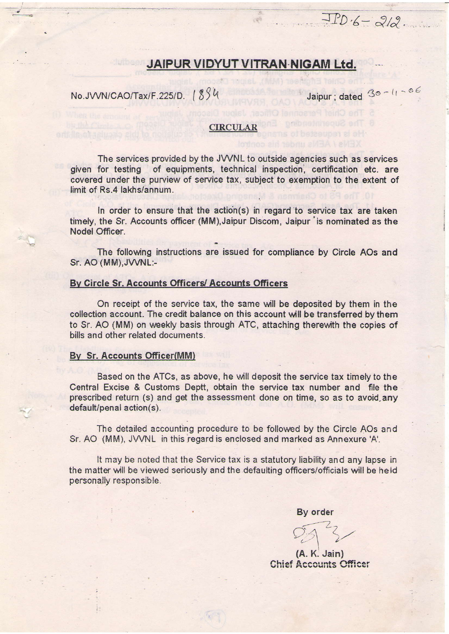# JAIPUR VIDYUT VITRAN NIGAM Ltd.

No.JVVN/CAO/Tax/F.225/D. 1894

Jaipur; dated 30-11-06

 $JPD-6-212$ 

## **CIRCULAR**

The services provided by the JVVNL to outside agencies such as services given for testing of equipments, technical inspection, certification etc. are covered under the purview of service tax, subject to exemption to the extent of limit of Rs.4 lakhs/annum.

In order to ensure that the action(s) in regard to service tax are taken timely, the Sr. Accounts officer (MM), Jaipur Discom, Jaipur 'is nominated as the Nodel Officer.

The following instructions are issued for compliance by Circle AOs and Sr. AO (MM), JVVNL:-

### By Circle Sr. Accounts Officers/ Accounts Officers

On receipt of the service tax, the same will be deposited by them in the collection account. The credit balance on this account will be transferred by them to Sr. AO (MM) on weekly basis through ATC, attaching therewith the copies of bills and other related documents.

#### By Sr. Accounts Officer(MM)

Based on the ATCs, as above, he will deposit the service tax timely to the Central Excise & Customs Deptt, obtain the service tax number and file the prescribed return (s) and get the assessment done on time, so as to avoid any default/penal action(s).

The detailed accounting procedure to be followed by the Circle AOs and Sr. AO (MM), JVVNL in this regard is enclosed and marked as Annexure 'A'.

It may be noted that the Service tax is a statutory liability and any lapse in the matter will be viewed seriously and the defaulting officers/officials will be held personally responsible.

By order

 $(A, K, Jain)$ **Chief Accounts Officer**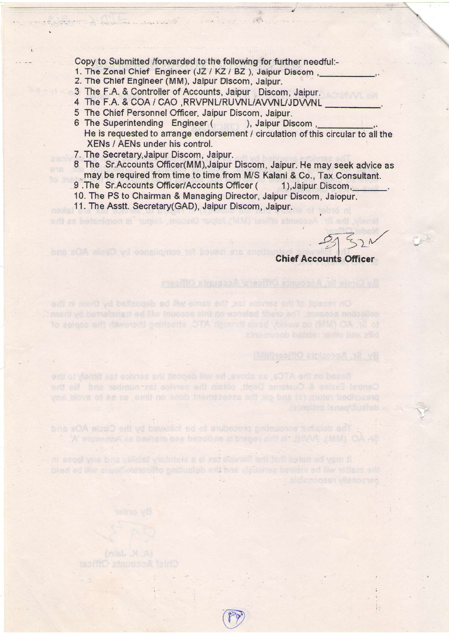Copy to Submitted /forwarded to the following for further needful:-

- 1. The Zonal Chief Engineer (JZ / KZ / BZ ), Jaipur Discom.
- 2. The Chlef Engineer (MM), Jalpur Discom, Jalpur.
- 3 The F.A. & Controller of Accounts, Jaipur Discom, Jaipur.
- 4 The F.A. & COA / CAO ,RRVPNL/RUVNL/AVVNL/JDVVN
- 5 The Chief Personnel Officer, Jaipur Discom, Jaipur.
- 6 The Superintending Engineer ( ), Jaipur Discom He is requested to arrange endorsement / circulation of this circular to all the XENs / AENs under his control.<br>7. The Secretary, Jaipur Discom, Jaipur.

e gra

Comment of Short England

- 8. The Sr.Accounts Officer(MM),Jaipur Discom, Jaipur. He may seek advice as may be required from time to time from M/S Kalani & Co., Tax Consultant.
- 9. The Sr. Accounts Officer/Accounts Officer (1), Jaipur Discom,
- 10. The PS to Chairman & Managing Director, Jaipur Discom, Jaiopur.

Central Excise & Customs Deat, obtain the service tax number and file the yns blovs of as oa emit no ench triemaasaas ent lep bas (a) muter bedhoacto

A experimA as beensm one becolors at preparent of JUVAL (MM) OA AC

The detailed academy protection and for lowed by the Circle AOs and

ni szost vns bins válidsit victutsta a al xist scivia? erti terü beton ed vem ti.

plan ad liw alcomothogeneothe pathugiab and bas viauohad beweiv ad liw reflam and

11. The Asstt. Secretary(GAD), Jaipur Discom, Jaipur.

 $-2521$ 

**Chief Accounts Officer** 

(МАЛ 199110 2110000 12 VS

sidianogas vilanoated

i.